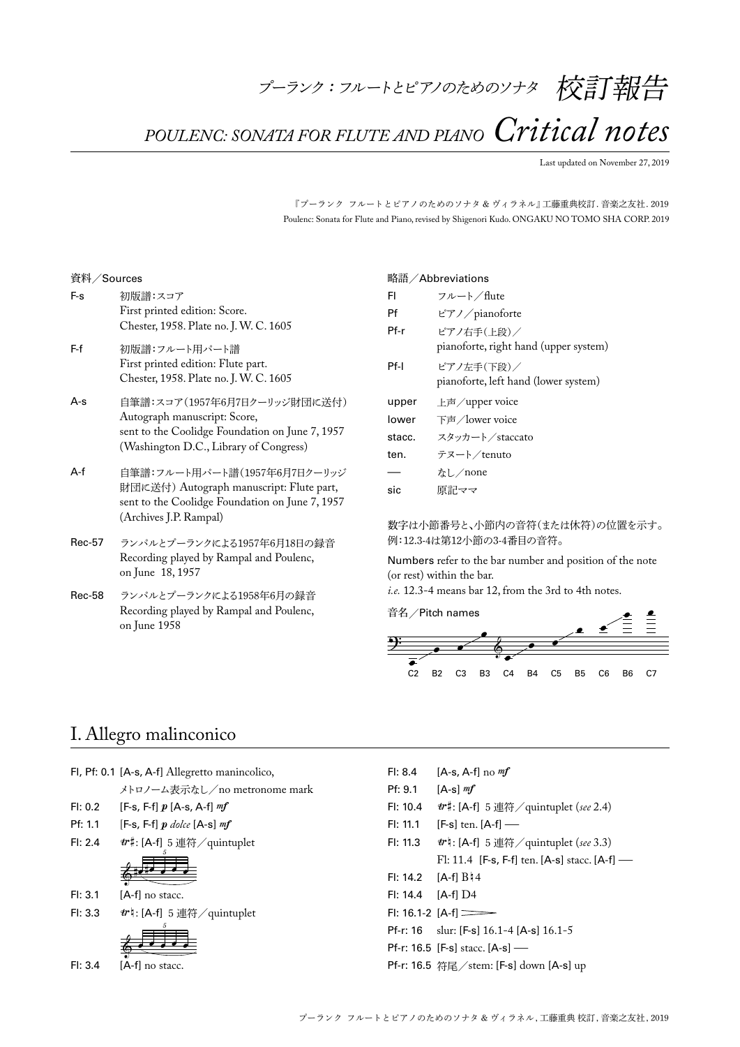*POULENC: SONATA FOR FLUTE AND PIANO Critical notes*

Last updated on November 27, 2019

『プーランク フルートとピアノのためのソナタ & ヴィラネル』 工藤重典校訂. 音楽之友社. 2019 Poulenc: Sonata for Flute and Piano, revised by Shigenori Kudo. ONGAKU NO TOMO SHA CORP. 2019

#### 資料/Sources

| F-s   | 初版譜:スコア<br>First printed edition: Score.<br>Chester, 1958. Plate no. J. W. C. 1605                                                                        |
|-------|-----------------------------------------------------------------------------------------------------------------------------------------------------------|
| F-f   | 初版譜:フルート用パート譜<br>First printed edition: Flute part.<br>Chester, 1958. Plate no. J. W. C. 1605                                                             |
| $A-S$ | 自筆譜:スコア(1957年6月7日クーリッジ財団に送付)<br>Autograph manuscript: Score,<br>sent to the Coolidge Foundation on June 7, 1957<br>(Washington D.C., Library of Congress) |
| $A-f$ | 自筆譜:フルート用パート譜(1957年6月7日クーリッジ<br>財団に送付) Autograph manuscript: Flute part,<br>sent to the Coolidge Foundation on June 7, 1957<br>(Archives J.P. Rampal)     |

- Rec-57 ランパルとプーランクによる1957年6月18日の録音 Recording played by Rampal and Poulenc, on June 18, 1957
- Rec-58 ランパルとプーランクによる1958年6月の録音 Recording played by Rampal and Poulenc, on June 1958

#### 略語/Abbreviations

| FI     | フルート/flute                                          |
|--------|-----------------------------------------------------|
| Pf     | ピアノ/pianoforte                                      |
| Pf-r   | ピアノ右手(上段)/<br>pianoforte, right hand (upper system) |
| Pf-I   | ピアノ左手(下段)/<br>pianoforte, left hand (lower system)  |
|        |                                                     |
| upper  | 上声 / upper voice                                    |
| lower  | 下声 / lower voice                                    |
| stacc. | スタッカート/staccato                                     |
| ten.   | テヌート/tenuto                                         |
|        | なし/none                                             |

### 数字は小節番号と、小節内の音符(または休符)の位置を示す。 例:12.3-4は第12小節の3-4番目の音符。

Numbers refer to the bar number and position of the note (or rest) within the bar.

*i.e.* 12.3-4 means bar 12, from the 3rd to 4th notes.



### I. Allegro malinconico

|  |  |  |  | Fl, Pf: 0.1 [A-s, A-f] Allegretto manincolico, |
|--|--|--|--|------------------------------------------------|
|--|--|--|--|------------------------------------------------|

メトロノーム表示なし/no metronome mark

Fl: 0.2 [F-s, F-f]  $p$  [A-s, A-f]  $mf$ 

- Pf: 1.1  $[F-s, F-f]p$  dolce  $[A-s]$  mf
- Fl: 2.4  $\#$ : [A-f] 5連符/quintuplet

$$
-\frac{1}{2}
$$

- Fl: 3.1 [A-f] no stacc.
- Fl: 3.3  $vr$  : [A-f] 5連符/quintuplet

$$
\overset{\circ}{\bullet}
$$

Fl: 3.4 [A-f] no stacc.

Fl: 8.4  $[A-s, A-f]$  no  $mf$ 

Pf: 9.1  $[A-s]$   $mf$ 

Fl: 10.4 `#: [A-f] 5連符/quintuplet (*see* 2.4)

Fl: 11.1 [F-s] ten.  $[A-f]$  —<br>Fl: 11.3 *tr*  $h: [A-f]$  5 連符

- Fl: 11.3 `n: [A-f] 5連符/quintuplet (*see* 3.3) Fl: 11.4 [F-s, F-f] ten. [A-s] stacc. [A-f] –
- $F1: 14.2$   $[A-f1 B14]$
- Fl: 14.4 [A-f] D4
- $F1: 16.1-2$   $[A-f] \equiv$
- Pf-r: 16 slur: [F-s] 16.1-4 [A-s] 16.1-5
- Pf-r: 16.5 [F-s] stacc. [A-s] —
- Pf-r: 16.5 符尾/stem: [F-s] down [A-s] up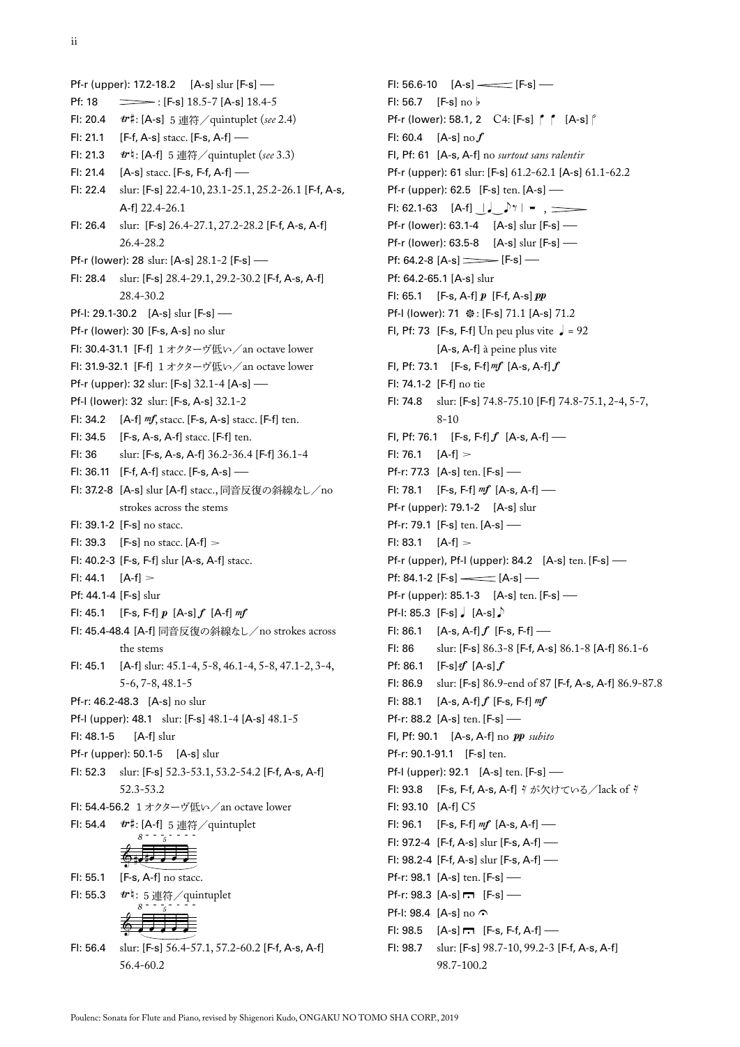Pf-r (upper): 17.2-18.2  $[A-s]$  slur  $[F-s]$ <br>Pf: 18  $\implies$ :  $[F-s]$  18.5-7  $[A-s]$  18.4-5  $\equiv$ : [F-s] 18.5-7 [A-s] 18.4-5 Fl: 20.4 `#: [A-s] 5連符/quintuplet (*see* 2.4) Fl: 21.1 [F-f, A-s] stacc. [F-s, A-f] – Fl: 21.3 `n: [A-f] 5連符/quintuplet (*see* 3.3) Fl: 21.4 [A-s] stacc. [F-s, F-f, A-f] – Fl: 22.4 slur: [F-s] 22.4-10, 23.1-25.1, 25.2-26.1 [F-f, A-s, A-f] 22.4-26.1 Fl: 26.4 slur: [F-s] 26.4-27.1, 27.2-28.2 [F-f, A-s, A-f] 26.4-28.2 Pf-r (lower): 28 slur: [A-s] 28.1-2 [F-s] – Fl: 28.4 slur: [F-s] 28.4-29.1, 29.2-30.2 [F-f, A-s, A-f] 28.4-30.2 Pf-I: 29.1-30.2 [A-s] slur [F-s] — Pf-r (lower): 30 [F-s, A-s] no slur Fl: 30.4-31.1 [F-f] 1オクターヴ低い/an octave lower Fl: 31.9-32.1 [F-f] 1オクターヴ低い/an octave lower Pf-r (upper): 32 slur: [F-s] 32.1-4 [A-s] — Pf-l (lower): 32 slur: [F-s, A-s] 32.1-2 Fl: 34.2  $[A-f] \text{ m}f$ , stacc.  $[F-s, A-s]$  stacc.  $[F-f]$  ten. Fl: 34.5 [F-s, A-s, A-f] stacc. [F-f] ten. Fl: 36 slur: [F-s, A-s, A-f] 36.2-36.4 [F-f] 36.1-4 Fl: 36.11 [F-f, A-f] stacc. [F-s, A-s] – Fl: 37.2-8 [A-s] slur [A-f] stacc., 同音反復の斜線なし/no strokes across the stems Fl: 39.1-2 [F-s] no stacc. Fl: 39.3 [F-s] no stacc.  $[A-f] >$ Fl: 40.2-3 [F-s, F-f] slur [A-s, A-f] stacc. Fl: 44.1  $[A-f] >$ Pf: 44.1-4 [F-s] slur Fl: 45.1 [F-s, F-f]  $p$  [A-s]  $f$  [A-f]  $m f$ Fl: 45.4-48.4 [A-f] 同音反復の斜線なし/no strokes across the stems Fl: 45.1 [A-f] slur: 45.1-4, 5-8, 46.1-4, 5-8, 47.1-2, 3-4, 5-6, 7-8, 48.1-5 Pf-r: 46.2-48.3 [A-s] no slur Pf-l (upper): 48.1 slur: [F-s] 48.1-4 [A-s] 48.1-5 Fl: 48.1-5 [A-f] slur Pf-r (upper): 50.1-5 [A-s] slur Fl: 52.3 slur: [F-s] 52.3-53.1, 53.2-54.2 [F-f, A-s, A-f] 52.3-53.2 Fl: 54.4-56.2 1オクターヴ低い/an octave lower Fl: 54.4  $tr$  #: [A-f] 5 連符/quintuplet  $\circ$  .  $\bullet$  . *8 5* Fl: 55.1 [F-s, A-f] no stacc. Fl: 55.3  $r: 5 \nleftrightarrow \nint \nint \night$  $\circ$  . . . . *8 5*

Fl: 56.4 slur: [F-s] 56.4-57.1, 57.2-60.2 [F-f, A-s, A-f] 56.4-60.2

Fl: 56.6-10  $[A-s]$  = [F-s] – Fl:  $56.7$  [F-s] no  $\flat$ Pf-r (lower): 58.1, 2  $C4$ : [F-s]  $\int_{a}^{b}$  [A-s]  $\int_{a}^{b}$ Fl: 60.4  $[A-s]$  no  $f$ Fl, Pf: 61 [A-s, A-f] no *surtout sans ralentir* Pf-r (upper): 61 slur: [F-s] 61.2-62.1 [A-s] 61.1-62.2 Pf-r (upper): 62.5 [F-s] ten. [A-s] — Fl: 62.1-63  $[A-f] \downarrow \sqrt{7} = ,$ Pf-r (lower):  $63.1-4$  [A-s] slur [F-s] — Pf-r (lower): 63.5-8 [A-s] slur [F-s] — Pf: 64.2-8  $[A-s]$  [F-s] – Pf: 64.2-65.1 [A-s] slur Fl: 65.1 [F-s, A-f]  $p$  [F-f, A-s]  $pp$ Pf-I (lower): 71 ※: [F-s] 71.1 [A-s] 71.2 Fl, Pf: 73 [F-s, F-f] Un peu plus vite  $\sqrt{ }$  = 92 [A-s, A-f] à peine plus vite Fl, Pf: 73.1 [F-s, F-f]  $m f$  [A-s, A-f]  $f$ Fl: 74.1-2 [F-f] no tie Fl: 74.8 slur: [F-s] 74.8-75.10 [F-f] 74.8-75.1, 2-4, 5-7, 8-10 Fl, Pf: 76.1 [F-s, F-f] $f$  [A-s, A-f] — Fl: 76.1  $[A-f] >$ Pf-r: 77.3 [A-s] ten. [F-s] — Fl: 78.1 [F-s, F-f]  $m f$  [A-s, A-f] — Pf-r (upper): 79.1-2 [A-s] slur Pf-r: 79.1 [F-s] ten. [A-s] — Fl:  $83.1$   $[A-f] >$ Pf-r (upper), Pf-I (upper): 84.2 [A-s] ten. [F-s] — Pf: 84.1-2  $[F-s]$   $\longrightarrow$   $[A-s]$ Pf-r (upper):  $85.1-3$  [A-s] ten. [F-s] — Pf-I: 85.3  $[F-s]$  [A-s] $\Box$ FI: 86.1  $[A-s, A-f] f$   $[F-s, F-f]$  —<br>FI: 86 slur:  $[F-s]$  86.3-8  $[F-f, A-s]$ slur: [F-s] 86.3-8 [F-f, A-s] 86.1-8 [A-f] 86.1-6 Pf: 86.1  $[F-s]$   $[f(A-s)]$   $f$ Fl: 86.9 slur: [F-s] 86.9-end of 87 [F-f, A-s, A-f] 86.9-87.8 Fl: 88.1  $[A-s, A-f] f$  [F-s, F-f]  $mf$ Pf-r: 88.2 [A-s] ten. [F-s] — Fl, Pf: 90.1 [A-s, A-f] no  $pp$  *subito* Pf-r: 90.1-91.1 [F-s] ten. Pf-I (upper): 92.1 [A-s] ten. [F-s] — Fl: 93.8 [F-s, F-f, A-s, A-f] ∛が欠けている/lack of ∛ Fl: 93.10 [A-f] C5 Fl: 96.1 [F-s, F-f]  $mf$  [A-s, A-f] — Fl: 97.2-4 [F-f, A-s] slur [F-s, A-f] – Fl: 98.2-4 [F-f, A-s] slur [F-s, A-f] – Pf-r: 98.1 [A-s] ten. [F-s] — Pf-r: 98.3  $[A-s] \rightarrow [F-s]$  – Pf-I: 98.4  $[A-s]$  no  $\Omega$ FI: 98.5  $[A-s] \rightarrow [F-s, F-f, A-f]$  — Fl: 98.7 slur: [F-s] 98.7-10, 99.2-3 [F-f, A-s, A-f] 98.7-100.2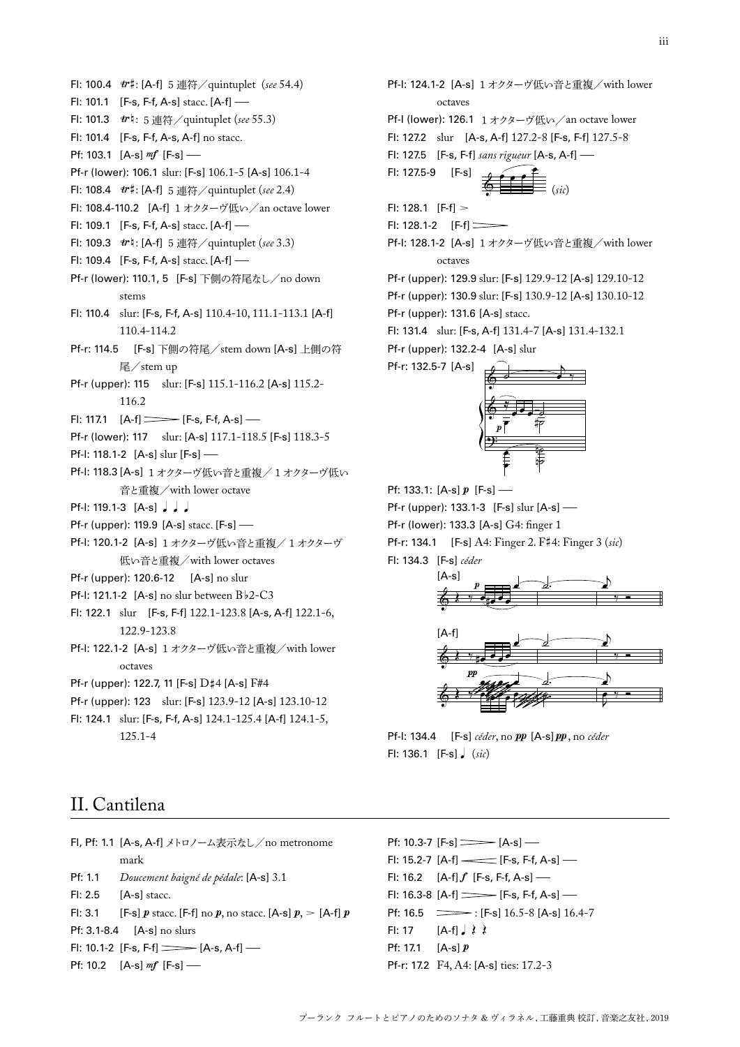Pf-r: 17.2 F4, A4: [A-s] ties: 17.2-3

Fl: 17  $[A-f] \rightarrow \rightarrow \rightarrow$ Pf: 17.1  $[A-s]$   $p$ 

Pf: 10.3-7  $[F-s]$   $\longrightarrow$   $[A-s]$ 

Fl: 15.2-7  $[A-f]$  = [F-s, F-f, A-s] – Fl: 16.2  $[A-f] f [F-s, F-f, A-s]$  – Fl: 16.3-8  $[A-f] \longrightarrow [F-s, F-f, A-s]$ Pf:  $16.5$   $\longrightarrow$ : [F-s]  $16.5-8$  [A-s]  $16.4-7$ 

- Pf-I: 118.3 [A-s] 1オクターヴ低い音と重複/1オクターヴ低い 音と重複/with lower octave Pf-r (upper): 119.9 [A-s] stacc. [F-s] — Pf-I: 120.1-2 [A-s] 1 オクターヴ低い音と重複/1オクターヴ 低い音と重複/with lower octaves Pf-r (upper): 120.6-12 [A-s] no slur Pf-I: 121.1-2  $[A-s]$  no slur between  $B\overline{b}$ 2-C3 Pf: 133.1:  $[A-s]$   $p$   $[F-s]$ Pf-r (lower): 133.3 [A-s] G4: finger 1 Fl: 134.3 [F-s] *céder* œ  $p \equiv \sqrt{2}$  $[A-s]$
- Fl: 122.1 slur [F-s, F-f] 122.1-123.8 [A-s, A-f] 122.1-6, 122.9-123.8
- Pf-l: 122.1-2 [A-s] 1オクターヴ低い音と重複/with lower octaves

Fl: 100.4 `#: [A-f] 5連符/quintuplet (*see* 54.4)

Pf-r (lower): 106.1 slur: [F-s] 106.1-5 [A-s] 106.1-4 Fl: 108.4 `#: [A-f] 5連符/quintuplet (*see* 2.4)

Fl: 109.3 `n: [A-f] 5連符/quintuplet (*see* 3.3)

Fl: 108.4-110.2 [A-f] 1オクターヴ低い/an octave lower

Pf-r (lower): 110.1, 5 [F-s] 下側の符尾なし/no down

Fl: 110.4 slur: [F-s, F-f, A-s] 110.4-10, 111.1-113.1 [A-f]

Pf-r: 114.5 [F-s] 下側の符尾/stem down [A-s] 上側の符

Pf-r (upper): 115 slur: [F-s] 115.1-116.2 [A-s] 115.2-

Pf-r (lower): 117 slur: [A-s] 117.1-118.5 [F-s] 118.3-5

Fl: 101.1 [F-s, F-f, A-s] stacc. [A-f] – Fl: 101.3  $r: 5 \nleftrightarrow \nint$  quintuplet (*see* 55.3) Fl: 101.4 [F-s, F-f, A-s, A-f] no stacc.

Fl: 109.1 [F-s, F-f, A-s] stacc. [A-f] –

Fl: 109.4 [F-s, F-f, A-s] stacc. [A-f] –

Pf: 103.1  $[A-s]$  mf  $[F-s]$  –

stems

116.2

Pf-I: 118.1-2 [A-s] slur [F-s] —

Pf-l: 119.1-3  $[A-s]$   $\downarrow$   $\downarrow$ 

110.4-114.2

尾/stem up

FI: 117.1  $[A-f] \longrightarrow [F-s, F-f, A-s]$ 

- Pf-r (upper): 122.7, 11 [F-s] D#4 [A-s] F#4
- Pf-r (upper): 123 slur: [F-s] 123.9-12 [A-s] 123.10-12 Fl: 124.1 slur: [F-s, F-f, A-s] 124.1-125.4 [A-f] 124.1-5,

125.1-4

Pf-l: 124.1-2 [A-s] 1オクターヴ低い音と重複/with lower octaves Pf-l (lower): 126.1 1オクターヴ低い/an octave lower Fl: 127.2 slur [A-s, A-f] 127.2-8 [F-s, F-f] 127.5-8 Fl: 127.5 [F-s, F-f] *sans rigueur* [A-s, A-f] –  $FI: 127.5-9$   $[F-s]$  $\frac{dy}{dx}$   $\frac{dy}{dx}$   $(sic)$ Fl: 128.1  $[$ F-f $] >$ Fl: 128.1-2 [F-f] Pf-l: 128.1-2 [A-s] 1オクターヴ低い音と重複/with lower octaves

Pf-r (upper): 129.9 slur: [F-s] 129.9-12 [A-s] 129.10-12 Pf-r (upper): 130.9 slur: [F-s] 130.9-12 [A-s] 130.10-12 Pf-r (upper): 131.6 [A-s] stacc.

Fl: 131.4 slur: [F-s, A-f] 131.4-7 [A-s] 131.4-132.1 Pf-r (upper): 132.2-4 [A-s] slur

Pf-r: 132.5-7 [A-s]



Pf-r (upper): 133.1-3 [F-s] slur [A-s] –

Pf-r: 134.1 [F-s] A4: Finger 2. F#4: Finger 3 (*sic*)





Pf-l: 134.4 [F-s] *céder*, no  $pp$  [A-s]  $pp$ , no *céder* Fl: 136.1 [F-s]q (*sic*)

# II. Cantilena

|                                | Fl, Pf: 1.1 [A-s, A-f] メトロノーム表示なし/no metronome                           |
|--------------------------------|--------------------------------------------------------------------------|
|                                | mark                                                                     |
| Pf: 1.1                        | Doucement baigné de pédale: [A-s] 3.1                                    |
|                                | $FI: 2.5$ [A-s] stacc.                                                   |
|                                | FI: 3.1 [F-s] p stace. [F-f] no p, no stace. [A-s] $p_{\rm s} >$ [A-f] p |
| $Pf: 3.1 - 8.4$ [A-s] no slurs |                                                                          |
|                                | FI: 10.1-2 [F-s, F-f] $\implies$ [A-s, A-f] $\implies$                   |
|                                | Pf: 10.2 $[A-s]$ $m f$ $[F-s]$ —                                         |

プーランク フルートとピアノのためのソナタ & ヴィラネル, 工藤重典 校訂, 音楽之友社, 2019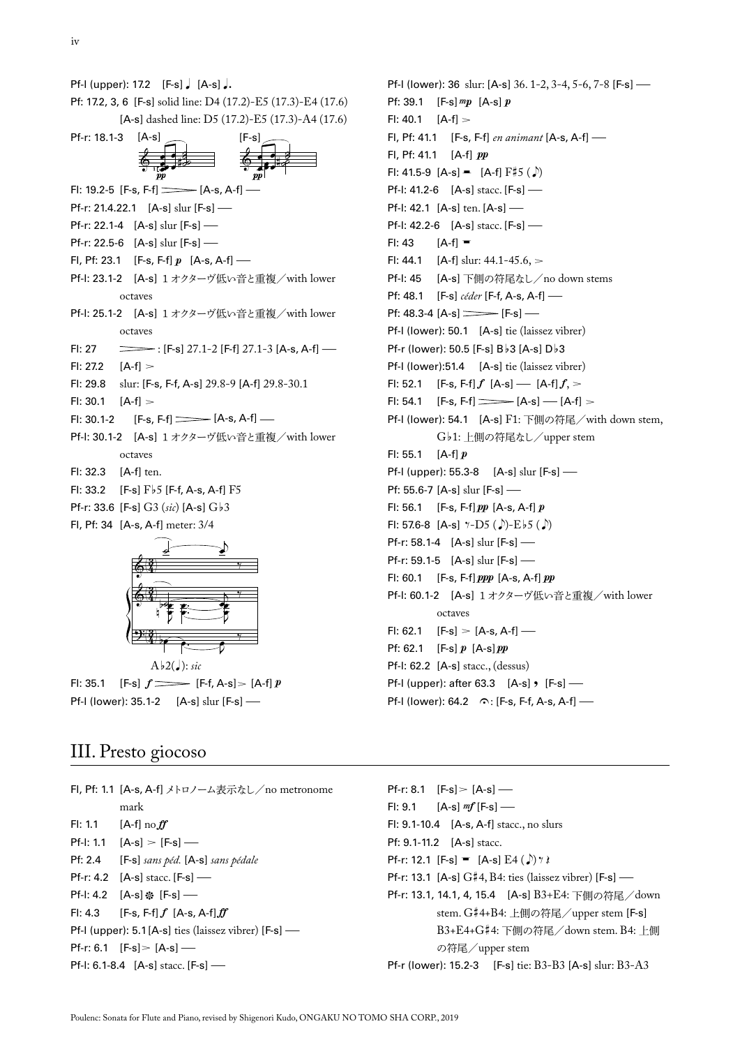|                                                  | Pf-I (upper): 17.2 $[F-s]$ , $[A-s]$ ,                         |  |
|--------------------------------------------------|----------------------------------------------------------------|--|
|                                                  | Pf: 17.2, 3, 6 [F-s] solid line: D4 (17.2)-E5 (17.3)-E4 (17.6) |  |
| [A-s] dashed line: D5 (17.2)-E5 (17.3)-A4 (17.6) |                                                                |  |
| Pf-r: 18.1-3                                     | $[A-s]$<br>$[F-s]$                                             |  |
|                                                  | pp<br>pр                                                       |  |
|                                                  | Fl: 19.2-5 [F-s, F-f] = [A-s, A-f] -                           |  |
|                                                  | Pf-r: 21.4.22.1 $[A-s]$ slur $[F-s]$ —                         |  |
|                                                  | Pf-r: 22.1-4 $[A-s]$ slur $[F-s]$ —                            |  |
|                                                  | Pf-r: 22.5-6 $[A-s]$ slur $[F-s]$ —                            |  |
|                                                  | FI, Pf: 23.1 [F-s, F-f] $p$ [A-s, A-f] —                       |  |
|                                                  | Pf-I: 23.1-2 [A-s] 1 オクターヴ低い音と重複/with lower                    |  |
|                                                  | octaves                                                        |  |
|                                                  | Pf-I: 25.1-2 [A-s] 1 オクターヴ低い音と重複/with lower                    |  |
|                                                  | octaves                                                        |  |
| FI: 27                                           |                                                                |  |
| FI: 27.2 $[A-f] >$                               |                                                                |  |
| FI: 29.8                                         | slur: [F-s, F-f, A-s] 29.8-9 [A-f] 29.8-30.1                   |  |
| $Fl: 30.1$ $[A-f] >$                             |                                                                |  |
|                                                  | FI: 30.1-2 $[F-s, F-f] \longrightarrow [A-s, A-f]$             |  |
|                                                  | Pf-I: 30.1-2 [A-s] 1 オクターヴ低い音と重複/with lower                    |  |
|                                                  | octaves                                                        |  |
| FI: 32.3                                         | $[A-f]$ ten.                                                   |  |
|                                                  | FI: 33.2 [F-s] $F\flat 5$ [F-f, A-s, A-f] F5                   |  |
|                                                  | Pf-r: 33.6 [F-s] $G3$ (sic) [A-s] $G\flat 3$                   |  |
|                                                  | Fl, Pf: 34 $[A-s, A-f]$ meter: $3/4$                           |  |
|                                                  |                                                                |  |



Fl: 35.1 [F-s]  $f$  [F-f, A-s] > [A-f] p Pf-I (lower): 35.1-2 [A-s] slur [F-s] —

## III. Presto giocoso

|                                                                | Fl, Pf: 1.1 [A-s, A-f] メトロノーム表示なし/no metronome |  |
|----------------------------------------------------------------|------------------------------------------------|--|
|                                                                | mark                                           |  |
|                                                                | FI: 1.1 $[A-f]$ no ff                          |  |
|                                                                | $Pf-I: 1.1$ $[A-s] > [F-s]$ —                  |  |
|                                                                | $Pf: 2.4$ [F-s] sans péd. [A-s] sans pédale    |  |
|                                                                | <b>Pf-r:</b> 4.2 $[A-s]$ stacc. $[F-s]$ —      |  |
|                                                                | Pf-I: 4.2 $[A-s]$ ※ $[F-s]$ —                  |  |
|                                                                | FI: 4.3 <b>IF-s.</b> F-f1 $f$ [A-s. A-f1 $ff$  |  |
| <b>Pf-I</b> (upper): $5.1$ [A-s] ties (laissez vibrer) [F-s] — |                                                |  |
|                                                                | Pf-r: 6.1 $[F-s] > [A-s]$ —                    |  |
| <b>Pf-I:</b> 6.1-8.4 $[A-s]$ stacc. $[F-s]$ —                  |                                                |  |

Pf-l (lower): 36 slur: [A-s] 36. 1-2, 3-4, 5-6, 7-8 [F-s] – Pf: 39.1  $[F-s]mp$  [A-s] p  $F!: 40.1$   $[A-f] >$ Fl, Pf: 41.1 [F-s, F-f] *en animant* [A-s, A-f] – Fl, Pf: 41.1  $[A-f]$   $pp$ FI: 41.5-9  $[A-s] = [A-f] F \ddagger 5 (\Delta)$ Pf-I: 41.2-6 [A-s] stacc. [F-s] — Pf-I: 42.1 [A-s] ten. [A-s] — Pf-I: 42.2-6 [A-s] stacc. [F-s] —<br>FI: 43 [A-f] =  $[A-f] =$ FI: 44.1 [A-f] slur:  $44.1 - 45.6$ ,  $>$ Pf-l: 45 [A-s] 下側の符尾なし/no down stems Pf: 48.1 [F-s] *céder* [F-f, A-s, A-f] – Pf: 48.3-4  $[A-s]$  [F-s] – Pf-l (lower): 50.1 [A-s] tie (laissez vibrer) Pf-r (lower): 50.5 [F-s]  $B\frac{1}{2}$  [A-s]  $D\frac{1}{2}$ 3 Pf-I (lower):51.4 [A-s] tie (laissez vibrer) Fl: 52.1 [F-s, F-f] $f$  [A-s] — [A-f] $f$ , > Fl: 54.1 [F-s, F-f]  $\equiv$  [A-s] – [A-f] > Pf-l (lower): 54.1 [A-s] F1: 下側の符尾/with down stem, Gb1: 上側の符尾なし/upper stem Fl: 55.1  $[A-f]p$ Pf-I (upper): 55.3-8 [A-s] slur [F-s] — Pf: 55.6-7 [A-s] slur [F-s] – Fl: 56.1 [F-s, F-f] $pp$  [A-s, A-f] $p$ Fl: 57.6-8 [A-s]  $\gamma$ -D5 ( $\sqrt{ }$ )-Eb5 ( $\sqrt{ }$ ) Pf-r: 58.1-4 [A-s] slur [F-s] – Pf-r: 59.1-5 [A-s] slur [F-s] – Fl: 60.1 [F-s, F-f] $ppp$  [A-s, A-f] $pp$ Pf-l: 60.1-2 [A-s] 1オクターヴ低い音と重複/with lower octaves Fl: 62.1  $[F-s] > [A-s, A-f]$  — Pf: 62.1 [F-s]  $p$  [A-s]  $pp$ Pf-l: 62.2 [A-s] stacc., (dessus) Pf-I (upper): after  $63.3$   $[A-s]$ ,  $[F-s]$  – Pf-I (lower): 64.2  $\cap$ : [F-s, F-f, A-s, A-f] —

Pf-r: 8.1  $[F-s] > [A-s]$  — Fl: 9.1  $[A-s]$   $m f$   $[F-s]$  — Fl: 9.1-10.4 [A-s, A-f] stacc., no slurs Pf: 9.1-11.2 [A-s] stacc. Pf-r: 12.1 [F-s] =  $[A-s]$   $E4 (\Delta x)^{3}$ Pf-r: 13.1 [A-s] G#4, B4: ties (laissez vibrer) [F-s] – Pf-r: 13.1, 14.1, 4, 15.4 [A-s] B3+E4: 下側の符尾/down stem. G#4+B4: 上側の符尾/upper stem [F-s] B3+E4+G#4: 下側の符尾/down stem. B4: 上側 の符尾/upper stem Pf-r (lower): 15.2-3 [F-s] tie: B3-B3 [A-s] slur: B3-A3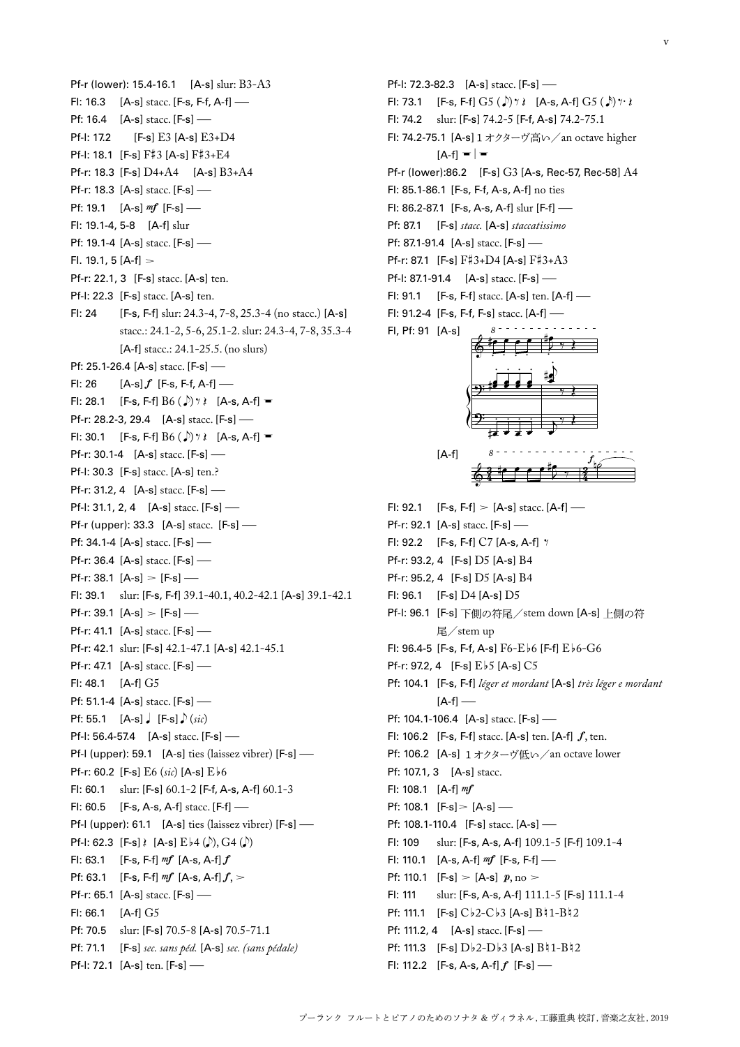Pf-r (lower): 15.4-16.1 [A-s] slur: B3-A3 Fl: 16.3  $[A-s]$  stacc.  $[F-s, F-f, A-f]$  – Pf: 16.4 [A-s] stacc. [F-s] —<br>Pf-I: 17.2 [F-s] E3 [A-s] E3  $[F-s]$   $E3$   $[A-s]$   $E3+D4$ Pf-l: 18.1 [F-s] F#3 [A-s] F#3+E4 Pf-r: 18.3 [F-s] D4+A4 [A-s] B3+A4 Pf-r: 18.3 [A-s] stacc. [F-s] -Pf: 19.1  $[A-s]$  mf  $[F-s]$  — Fl: 19.1-4, 5-8 [A-f] slur Pf: 19.1-4 [A-s] stacc. [F-s] -Fl. 19.1, 5  $[A-f] >$ Pf-r: 22.1, 3 [F-s] stacc. [A-s] ten. Pf-I: 22.3 [F-s] stacc. [A-s] ten. Fl: 24 [F-s, F-f] slur: 24.3-4, 7-8, 25.3-4 (no stacc.) [A-s] stacc.: 24.1-2, 5-6, 25.1-2. slur: 24.3-4, 7-8, 35.3-4 [A-f] stacc.: 24.1-25.5. (no slurs) Pf: 25.1-26.4 [A-s] stacc. [F-s] —<br>Fl: 26 [A-s] f [F-s. F-f. A-f] –  $[A-s]f$  [F-s, F-f, A-f] –– Fl: 28.1 [F-s, F-f]  $B6 (\sqrt{r})$   $\gamma \$  [A-s, A-f] = Pf-r: 28.2-3, 29.4 [A-s] stacc. [F-s] — Fl: 30.1 [F-s, F-f]  $B6 \left( \int \right)$   $\gamma \left( \right)$  [A-s, A-f] = Pf-r: 30.1-4 [A-s] stacc. [F-s] — Pf-l: 30.3 [F-s] stacc. [A-s] ten.? Pf-r: 31.2, 4 [A-s] stacc. [F-s] — Pf-I: 31.1, 2, 4 [A-s] stacc. [F-s] — Pf-r (upper): 33.3 [A-s] stacc. [F-s] – Pf: 34.1-4 [A-s] stacc. [F-s] -Pf-r: 36.4 [A-s] stacc. [F-s] — Pf-r: 38.1  $[A-s] > [F-s]$  — Fl: 39.1 slur: [F-s, F-f] 39.1-40.1, 40.2-42.1 [A-s] 39.1-42.1 Pf-r: 39.1  $[A-s] > [F-s]$  — Pf-r: 41.1 [A-s] stacc. [F-s] — Pf-r: 42.1 slur: [F-s] 42.1-47.1 [A-s] 42.1-45.1 Pf-r: 47.1 [A-s] stacc. [F-s] — Fl: 48.1 [A-f] G5 Pf: 51.1-4 [A-s] stacc. [F-s] -**Pf:** 55.1  $[A-s]$   $[F-s]$   $(xic)$ Pf-I: 56.4-57.4 [A-s] stacc. [F-s] — Pf-l (upper): 59.1 [A-s] ties (laissez vibrer) [F-s] — Pf-r: 60.2 [F-s] E6 (*sic*) [A-s] Eb6 Fl: 60.1 slur: [F-s] 60.1-2 [F-f, A-s, A-f] 60.1-3 Fl: 60.5 [F-s, A-s, A-f] stacc. [F-f] – Pf-I (upper): 61.1 [A-s] ties (laissez vibrer) [F-s] — Pf-l: 62.3 [F-s] $\{ [A-s] E\}_{4} (\phi)$ , G4  $(\phi)$ Fl: 63.1 [F-s, F-f]  $mf$  [A-s, A-f]  $f$ Pf: 63.1 [F-s, F-f]  $m f$  [A-s, A-f]  $f$ ,  $>$ Pf-r: 65.1 [A-s] stacc. [F-s] — Fl: 66.1 [A-f] G5 Pf: 70.5 slur: [F-s] 70.5-8 [A-s] 70.5-71.1 Pf: 71.1 [F-s] *sec. sans péd.* [A-s] *sec. (sans pédale)* Pf-I: 72.1 [A-s] ten. [F-s] —

Pf-I: 72.3-82.3 [A-s] stacc. [F-s] — Fl: 73.1 [F-s, F-f]  $G5 (\sqrt{}) \gamma \$  [A-s, A-f]  $G5 (\sqrt{}) \gamma \}$ Fl: 74.2 slur: [F-s] 74.2-5 [F-f, A-s] 74.2-75.1 Fl: 74.2-75.1 [A-s]1オクターヴ高い/an octave higher  $[A-f] = |$ Pf-r (lower):86.2 [F-s] G3 [A-s, Rec-57, Rec-58] A4 Fl: 85.1-86.1 [F-s, F-f, A-s, A-f] no ties Fl: 86.2-87.1 [F-s, A-s, A-f] slur [F-f] – Pf: 87.1 [F-s] *stacc.* [A-s] *staccatissimo* Pf: 87.1-91.4 [A-s] stacc. [F-s] — Pf-r: 87.1 [F-s] F#3+D4 [A-s] F#3+A3 Pf-I: 87.1-91.4 [A-s] stacc. [F-s] — Fl: 91.1 [F-s, F-f] stacc. [A-s] ten. [A-f] – Fl: 91.2-4 [F-s, F-f, F-s] stacc. [A-f] – Fl, Pf: 91 [A-s] & 9 ? *8* #œ . œ . œ . œ . œ#œ . œ œ . œ œ . œ œ . #œ . œ . œ . œ . J #œ  $\frac{1}{2}$   $\frac{1}{2}$ .<br>N œ œ # . ५ ≹ j œ  $\overline{\ast}$ [A-f]  $6\%$  $\frac{3}{4}$  (  $\frac{1}{2}$   $\frac{1}{2}$   $\frac{1}{2}$   $\frac{1}{2}$   $\frac{1}{2}$   $\frac{1}{2}$ 2 *8* #œ <sup>œ</sup> <sup>œ</sup> <sup>œ</sup> <sup>J</sup>  $^{\sharp}\hspace{-1.9mm}5$  ,  $\frac{f_{\parallel c}}{f}$ FI: 92.1 [F-s, F-f]  $>$  [A-s] stacc. [A-f] — Pf-r: 92.1 [A-s] stacc. [F-s] -Fl: 92.2 [F-s, F-f] C7 [A-s, A-f] ‰ Pf-r: 93.2, 4 [F-s] D5 [A-s] B4 Pf-r: 95.2, 4 [F-s] D5 [A-s] B4 Fl: 96.1 [F-s] D4 [A-s] D5 Pf-l: 96.1 [F-s] 下側の符尾/stem down [A-s] 上側の符 尾/stem up Fl: 96.4-5 [F-s, F-f, A-s] F6-Eb6 [F-f] Eb6-G6 Pf-r: 97.2, 4  $[Fe]$  Eb<sub>5</sub> [A-s] C<sub>5</sub> Pf: 104.1 [F-s, F-f] *léger et mordant* [A-s] *très léger e mordant*   $[A-f]$  – Pf: 104.1-106.4 [A-s] stacc. [F-s] — Fl: 106.2 [F-s, F-f] stacc.  $[A-s]$  ten.  $[A-f]$ , ten. Pf: 106.2 [A-s] 1 オクターヴ低い / an octave lower Pf: 107.1, 3 [A-s] stacc. Fl: 108.1  $[A-f]$  mf Pf: 108.1  $[F-s] > [A-s]$  — **Pf: 108.1-110.4** [F-s] stacc. [A-s] —<br>Fl: 109 slur: [F-s. A-s. A-f] 109.1-Fl: 109 slur: [F-s, A-s, A-f] 109.1-5 [F-f] 109.1-4 Fl: 110.1  $[A-s, A-f]$   $m f$   $[F-s, F-f]$  — Pf: 110.1  $[F-s] > [A-s] p, no >$ Fl: 111 slur: [F-s, A-s, A-f] 111.1-5 [F-s] 111.1-4 Pf: 111.1  $[F-s] C b2-C b3 [A-s] B 1-B 2$ Pf: 111.2, 4 [A-s] stacc. [F-s] — Pf: 111.3 [F-s]  $Db2-Db3$  [A-s]  $B41-B42$ Fl: 112.2  $[F-s, A-s, A-f] f [F-s]$  —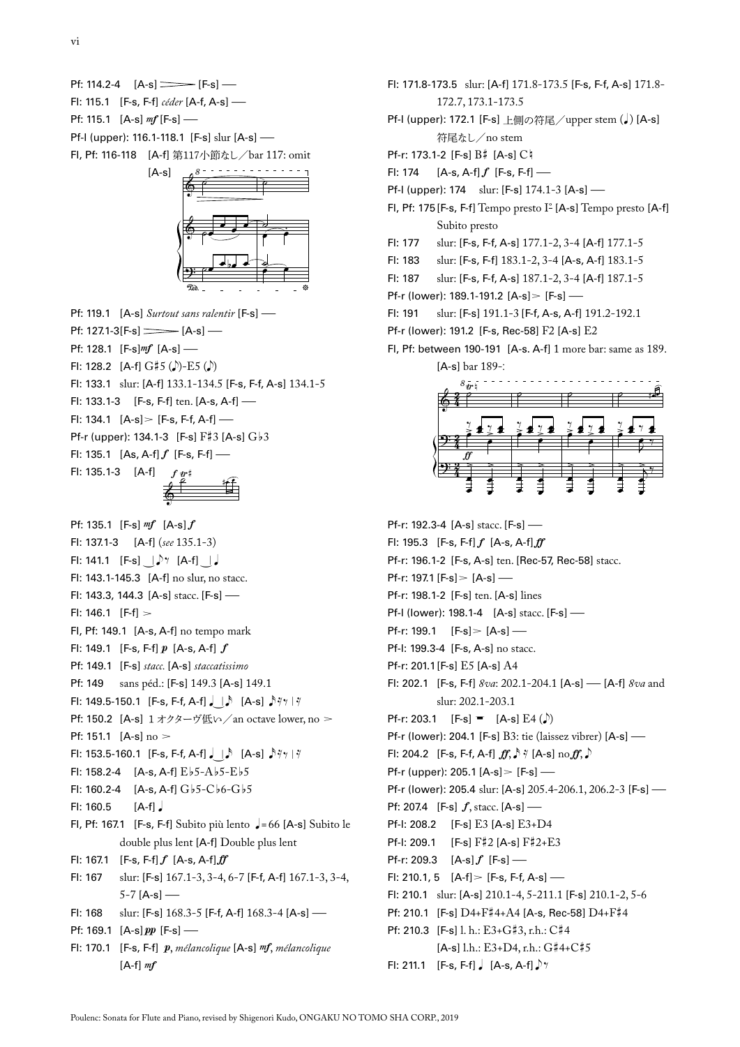Pf: 114.2-4  $[A-s] \longrightarrow [F-s]$ Fl: 115.1 [F-s, F-f] *céder* [A-f, A-s] – Pf: 115.1  $[A-s]$  mf  $[F-s]$  — Pf-I (upper): 116.1-118.1 [F-s] slur [A-s] — Fl, Pf: 116-118 [A-f] 第117小節なし/bar 117: omit



Pf: 119.1 [A-s] *Surtout sans ralentir* [F-s] – Pf: 127.1-3[F-s]  $\frac{1}{2}$  [A-s] – Pf: 128.1  $[F-s]mf$  [A-s] — Fl: 128.2  $[A-f] G \sharp 5 (D) - E5 (D)$ Fl: 133.1 slur: [A-f] 133.1-134.5 [F-s, F-f, A-s] 134.1-5 Fl: 133.1-3 [F-s, F-f] ten. [A-s, A-f] – Fl: 134.1  $[A-s] > [F-s, F-f, A-f]$  — Pf-r (upper): 134.1-3 [F-s] F#3 [A-s] Gb3 Fl: 135.1  $[As, A-f]f$   $[F-s, F-f]$  — Fl: 135.1-3 [A-f]  $f\, \frac{dr}{r}$  if

& Pf: 135.1 [F-s]  $mf$  [A-s]  $f$ Fl: 137.1-3 [A-f] (*see* 135.1-3) Fl: 141.1  $[F-s]$   $\downarrow$ <sup>7</sup> [A-f]  $\downarrow$ Fl: 143.1-145.3 [A-f] no slur, no stacc. Fl: 143.3, 144.3 [A-s] stacc. [F-s] – Fl: 146.1  $[F-f] >$ Fl, Pf: 149.1 [A-s, A-f] no tempo mark Fl: 149.1 [F-s, F-f]  $p$  [A-s, A-f]  $f$ Pf: 149.1 [F-s] *stacc.* [A-s] *staccatissimo* Pf: 149 sans péd.: [F-s] 149.3 [A-s] 149.1 Fl: 149.5-150.1 [F-s, F-f, A-f]  $\downarrow$  |  $\uparrow$  [A-s]  $\downarrow$  ₹/ | ₹ Pf: 150.2 [A-s] 1オクターヴ低い / an octave lower, no > Pf: 151.1  $[A-s]$  no  $>$ Fl: 153.5-160.1 [F-s, F-f, A-f] $\int$  [ $\triangle$  [A-s]  $\sqrt[3]{\frac{7}{7}}$  | $\sqrt[7]{}$ Fl: 158.2-4  $[A-s, A-f] E b 5 - A b 5 - E b 5$ Fl: 160.2-4  $[A-s, A-f] G_b 5-C_b 6-G_b 5$  $F1: 160.5$   $[A-f]$ Fl, Pf: 167.1 [F-s, F-f] Subito più lento  $\sqrt{=}$  = 66 [A-s] Subito le double plus lent [A-f] Double plus lent Fl: 167.1  $[F-s, F-f] f [A-s, A-f] ff$ Fl: 167 slur: [F-s] 167.1-3, 3-4, 6-7 [F-f, A-f] 167.1-3, 3-4,  $5-7$  [A-s] — Fl: 168 slur: [F-s] 168.3-5 [F-f, A-f] 168.3-4 [A-s] – Pf: 169.1  $[A-s]pp$  [F-s] — Fl: 170.1 [F-s, F-f]  $p$ , *mélancolique* [A-s] *mf*, *mélancolique*  $[A-f]$  mf

- Fl: 171.8-173.5 slur: [A-f] 171.8-173.5 [F-s, F-f, A-s] 171.8- 172.7, 173.1-173.5
- Pf-I (upper): 172.1 [F-s] 上側の符尾/upper stem (J) [A-s] 符尾なし/no stem
- Pf-r: 173.1-2 [F-s] B# [A-s] Ch
- Fl: 174  $[A-s, A-f]f$   $[F-s, F-f]$  —
- Pf-I (upper): 174 slur: [F-s] 174.1-3 [A-s] —
- Fl, Pf: 175[F-s, F-f] Tempo presto I° [A-s] Tempo presto [A-f] Subito presto
- Fl: 177 slur: [F-s, F-f, A-s] 177.1-2, 3-4 [A-f] 177.1-5
- Fl: 183 slur: [F-s, F-f] 183.1-2, 3-4 [A-s, A-f] 183.1-5
- Fl: 187 slur: [F-s, F-f, A-s] 187.1-2, 3-4 [A-f] 187.1-5
- Pf-r (lower): 189.1-191.2 [A-s] > [F-s] —<br>FI: 191 slur: [F-s] 191.1-3 [F-f. A-s. A-f]
- slur: [F-s] 191.1-3 [F-f, A-s, A-f] 191.2-192.1
- Pf-r (lower): 191.2 [F-s, Rec-58] F2 [A-s] E2
- Fl, Pf: between 190-191 [A-s. A-f] 1 more bar: same as 189. [A-s] bar 189-:



Pf-r: 192.3-4 [A-s] stacc. [F-s] -Fl: 195.3  $[F-s, F-f]$   $f$   $[A-s, A-f]$   $ff$ Pf-r: 196.1-2 [F-s, A-s] ten. [Rec-57, Rec-58] stacc. Pf-r: 197.1 [F-s] > [A-s] — Pf-r: 198.1-2 [F-s] ten. [A-s] lines Pf-I (lower): 198.1-4 [A-s] stacc. [F-s] — Pf-r: 199.1  $[F-s] > [A-s]$  — Pf-l: 199.3-4 [F-s, A-s] no stacc. Pf-r: 201.1[F-s] E5 [A-s] A4 Fl: 202.1 [F-s, F-f] *8va*: 202.1-204.1 [A-s] –[A-f] *8va* and slur: 202.1-203.1 Pf-r: 203.1 [F-s]  $=$  [A-s] E4 ( $\bullet$ ) Pf-r (lower): 204.1 [F-s] B3: tie (laissez vibrer) [A-s] – Fl: 204.2 [F-s, F-f, A-f]  $ff$ ,  $\rightarrow$   $\forall$  [A-s] no $ff$ ,  $\rightarrow$ Pf-r (upper): 205.1  $[A-s] > [F-s]$  — Pf-r (lower): 205.4 slur: [A-s] 205.4-206.1, 206.2-3 [F-s] – Pf: 207.4 [F-s]  $f$ , stacc. [A-s] — Pf-l: 208.2 [F-s] E3 [A-s] E3+D4 Pf-l: 209.1 [F-s] F#2 [A-s] F#2+E3 Pf-r: 209.3  $[A-s]f$   $[F-s]$  – Fl: 210.1, 5  $[A-f] > [F-s, F-f, A-s]$  — Fl: 210.1 slur: [A-s] 210.1-4, 5-211.1 [F-s] 210.1-2, 5-6 Pf: 210.1 [F-s] D4+F#4+A4 [A-s, Rec-58] D4+F#4 Pf: 210.3 [F-s] l. h.: E3+G#3, r.h.: C#4 [A-s] l.h.: E3+D4, r.h.: G#4+C#5 Fl: 211.1  $[F-s, F-f]$   $[A-s, A-f]$